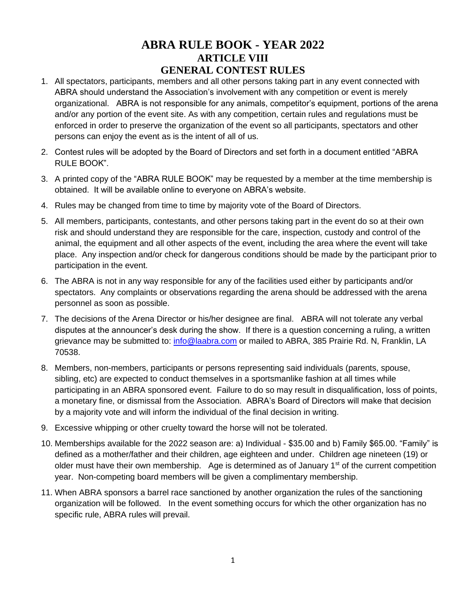# **ABRA RULE BOOK - YEAR 2022 ARTICLE VIII GENERAL CONTEST RULES**

- 1. All spectators, participants, members and all other persons taking part in any event connected with ABRA should understand the Association's involvement with any competition or event is merely organizational. ABRA is not responsible for any animals, competitor's equipment, portions of the arena and/or any portion of the event site. As with any competition, certain rules and regulations must be enforced in order to preserve the organization of the event so all participants, spectators and other persons can enjoy the event as is the intent of all of us.
- 2. Contest rules will be adopted by the Board of Directors and set forth in a document entitled "ABRA RULE BOOK".
- 3. A printed copy of the "ABRA RULE BOOK" may be requested by a member at the time membership is obtained. It will be available online to everyone on ABRA's website.
- 4. Rules may be changed from time to time by majority vote of the Board of Directors.
- 5. All members, participants, contestants, and other persons taking part in the event do so at their own risk and should understand they are responsible for the care, inspection, custody and control of the animal, the equipment and all other aspects of the event, including the area where the event will take place. Any inspection and/or check for dangerous conditions should be made by the participant prior to participation in the event.
- 6. The ABRA is not in any way responsible for any of the facilities used either by participants and/or spectators. Any complaints or observations regarding the arena should be addressed with the arena personnel as soon as possible.
- 7. The decisions of the Arena Director or his/her designee are final. ABRA will not tolerate any verbal disputes at the announcer's desk during the show. If there is a question concerning a ruling, a written grievance may be submitted to: [info@laabra.com](mailto:info@laabra.com) or mailed to ABRA, 385 Prairie Rd. N, Franklin, LA 70538.
- 8. Members, non-members, participants or persons representing said individuals (parents, spouse, sibling, etc) are expected to conduct themselves in a sportsmanlike fashion at all times while participating in an ABRA sponsored event. Failure to do so may result in disqualification, loss of points, a monetary fine, or dismissal from the Association. ABRA's Board of Directors will make that decision by a majority vote and will inform the individual of the final decision in writing.
- 9. Excessive whipping or other cruelty toward the horse will not be tolerated.
- 10. Memberships available for the 2022 season are: a) Individual \$35.00 and b) Family \$65.00. "Family" is defined as a mother/father and their children, age eighteen and under. Children age nineteen (19) or older must have their own membership. Age is determined as of January  $1<sup>st</sup>$  of the current competition year. Non-competing board members will be given a complimentary membership.
- 11. When ABRA sponsors a barrel race sanctioned by another organization the rules of the sanctioning organization will be followed. In the event something occurs for which the other organization has no specific rule, ABRA rules will prevail.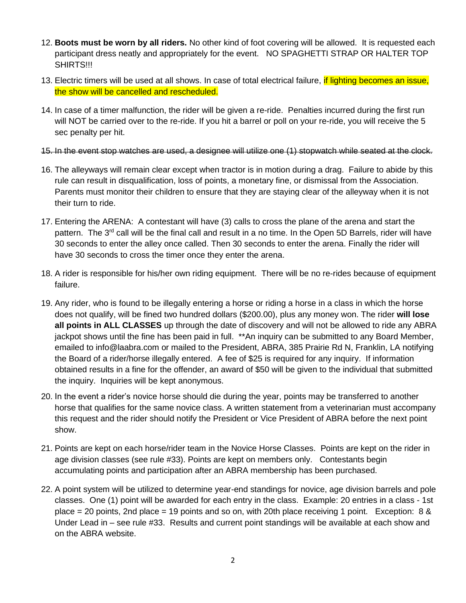- 12. **Boots must be worn by all riders.** No other kind of foot covering will be allowed. It is requested each participant dress neatly and appropriately for the event. NO SPAGHETTI STRAP OR HALTER TOP SHIRTS!!!
- 13. Electric timers will be used at all shows. In case of total electrical failure, if lighting becomes an issue, the show will be cancelled and rescheduled.
- 14. In case of a timer malfunction, the rider will be given a re-ride. Penalties incurred during the first run will NOT be carried over to the re-ride. If you hit a barrel or poll on your re-ride, you will receive the 5 sec penalty per hit.

#### 15. In the event stop watches are used, a designee will utilize one (1) stopwatch while seated at the clock.

- 16. The alleyways will remain clear except when tractor is in motion during a drag. Failure to abide by this rule can result in disqualification, loss of points, a monetary fine, or dismissal from the Association. Parents must monitor their children to ensure that they are staying clear of the alleyway when it is not their turn to ride.
- 17. Entering the ARENA: A contestant will have (3) calls to cross the plane of the arena and start the pattern. The 3<sup>rd</sup> call will be the final call and result in a no time. In the Open 5D Barrels, rider will have 30 seconds to enter the alley once called. Then 30 seconds to enter the arena. Finally the rider will have 30 seconds to cross the timer once they enter the arena.
- 18. A rider is responsible for his/her own riding equipment. There will be no re-rides because of equipment failure.
- 19. Any rider, who is found to be illegally entering a horse or riding a horse in a class in which the horse does not qualify, will be fined two hundred dollars (\$200.00), plus any money won. The rider **will lose all points in ALL CLASSES** up through the date of discovery and will not be allowed to ride any ABRA jackpot shows until the fine has been paid in full. \*\*An inquiry can be submitted to any Board Member, emailed to info@laabra.com or mailed to the President, ABRA, 385 Prairie Rd N, Franklin, LA notifying the Board of a rider/horse illegally entered. A fee of \$25 is required for any inquiry. If information obtained results in a fine for the offender, an award of \$50 will be given to the individual that submitted the inquiry. Inquiries will be kept anonymous.
- 20. In the event a rider's novice horse should die during the year, points may be transferred to another horse that qualifies for the same novice class. A written statement from a veterinarian must accompany this request and the rider should notify the President or Vice President of ABRA before the next point show.
- 21. Points are kept on each horse/rider team in the Novice Horse Classes. Points are kept on the rider in age division classes (see rule #33). Points are kept on members only. Contestants begin accumulating points and participation after an ABRA membership has been purchased.
- 22. A point system will be utilized to determine year-end standings for novice, age division barrels and pole classes. One (1) point will be awarded for each entry in the class. Example: 20 entries in a class - 1st place = 20 points, 2nd place = 19 points and so on, with 20th place receiving 1 point. Exception: 8 & Under Lead in – see rule #33. Results and current point standings will be available at each show and on the ABRA website.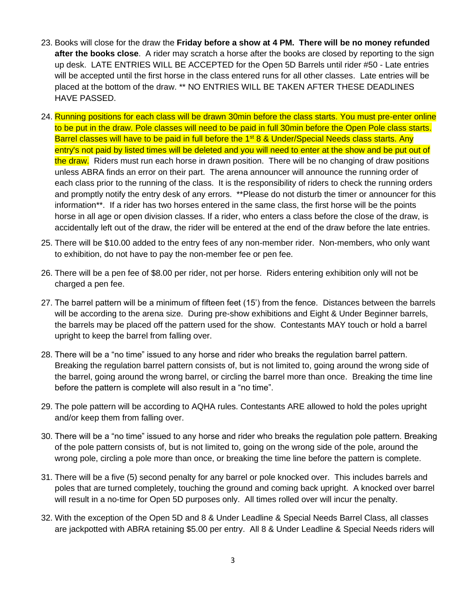- 23. Books will close for the draw the **Friday before a show at 4 PM. There will be no money refunded after the books close**. A rider may scratch a horse after the books are closed by reporting to the sign up desk. LATE ENTRIES WILL BE ACCEPTED for the Open 5D Barrels until rider #50 - Late entries will be accepted until the first horse in the class entered runs for all other classes. Late entries will be placed at the bottom of the draw. \*\* NO ENTRIES WILL BE TAKEN AFTER THESE DEADLINES HAVE PASSED.
- 24. Running positions for each class will be drawn 30min before the class starts. You must pre-enter online to be put in the draw. Pole classes will need to be paid in full 30min before the Open Pole class starts. Barrel classes will have to be paid in full before the 1<sup>st</sup> 8 & Under/Special Needs class starts. Any entry's not paid by listed times will be deleted and you will need to enter at the show and be put out of the draw. Riders must run each horse in drawn position. There will be no changing of draw positions unless ABRA finds an error on their part. The arena announcer will announce the running order of each class prior to the running of the class. It is the responsibility of riders to check the running orders and promptly notify the entry desk of any errors. \*\*Please do not disturb the timer or announcer for this information\*\*. If a rider has two horses entered in the same class, the first horse will be the points horse in all age or open division classes. If a rider, who enters a class before the close of the draw, is accidentally left out of the draw, the rider will be entered at the end of the draw before the late entries.
- 25. There will be \$10.00 added to the entry fees of any non-member rider. Non-members, who only want to exhibition, do not have to pay the non-member fee or pen fee.
- 26. There will be a pen fee of \$8.00 per rider, not per horse. Riders entering exhibition only will not be charged a pen fee.
- 27. The barrel pattern will be a minimum of fifteen feet (15') from the fence. Distances between the barrels will be according to the arena size. During pre-show exhibitions and Eight & Under Beginner barrels, the barrels may be placed off the pattern used for the show. Contestants MAY touch or hold a barrel upright to keep the barrel from falling over.
- 28. There will be a "no time" issued to any horse and rider who breaks the regulation barrel pattern. Breaking the regulation barrel pattern consists of, but is not limited to, going around the wrong side of the barrel, going around the wrong barrel, or circling the barrel more than once. Breaking the time line before the pattern is complete will also result in a "no time".
- 29. The pole pattern will be according to AQHA rules. Contestants ARE allowed to hold the poles upright and/or keep them from falling over.
- 30. There will be a "no time" issued to any horse and rider who breaks the regulation pole pattern. Breaking of the pole pattern consists of, but is not limited to, going on the wrong side of the pole, around the wrong pole, circling a pole more than once, or breaking the time line before the pattern is complete.
- 31. There will be a five (5) second penalty for any barrel or pole knocked over. This includes barrels and poles that are turned completely, touching the ground and coming back upright. A knocked over barrel will result in a no-time for Open 5D purposes only. All times rolled over will incur the penalty.
- 32. With the exception of the Open 5D and 8 & Under Leadline & Special Needs Barrel Class, all classes are jackpotted with ABRA retaining \$5.00 per entry. All 8 & Under Leadline & Special Needs riders will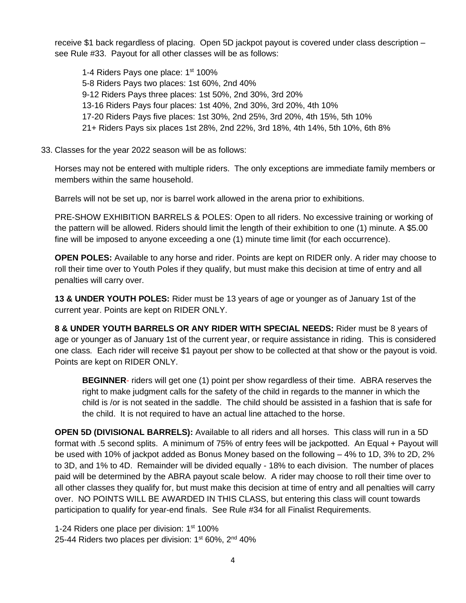receive \$1 back regardless of placing. Open 5D jackpot payout is covered under class description – see Rule #33. Payout for all other classes will be as follows:

1-4 Riders Pays one place: 1<sup>st</sup> 100% 5-8 Riders Pays two places: 1st 60%, 2nd 40% 9-12 Riders Pays three places: 1st 50%, 2nd 30%, 3rd 20% 13-16 Riders Pays four places: 1st 40%, 2nd 30%, 3rd 20%, 4th 10% 17-20 Riders Pays five places: 1st 30%, 2nd 25%, 3rd 20%, 4th 15%, 5th 10% 21+ Riders Pays six places 1st 28%, 2nd 22%, 3rd 18%, 4th 14%, 5th 10%, 6th 8%

33. Classes for the year 2022 season will be as follows:

Horses may not be entered with multiple riders. The only exceptions are immediate family members or members within the same household.

Barrels will not be set up, nor is barrel work allowed in the arena prior to exhibitions.

PRE-SHOW EXHIBITION BARRELS & POLES: Open to all riders. No excessive training or working of the pattern will be allowed. Riders should limit the length of their exhibition to one (1) minute. A \$5.00 fine will be imposed to anyone exceeding a one (1) minute time limit (for each occurrence).

**OPEN POLES:** Available to any horse and rider. Points are kept on RIDER only. A rider may choose to roll their time over to Youth Poles if they qualify, but must make this decision at time of entry and all penalties will carry over.

**13 & UNDER YOUTH POLES:** Rider must be 13 years of age or younger as of January 1st of the current year. Points are kept on RIDER ONLY.

**8 & UNDER YOUTH BARRELS OR ANY RIDER WITH SPECIAL NEEDS:** Rider must be 8 years of age or younger as of January 1st of the current year, or require assistance in riding. This is considered one class*.* Each rider will receive \$1 payout per show to be collected at that show or the payout is void. Points are kept on RIDER ONLY.

**BEGINNER**- riders will get one (1) point per show regardless of their time. ABRA reserves the right to make judgment calls for the safety of the child in regards to the manner in which the child is /or is not seated in the saddle. The child should be assisted in a fashion that is safe for the child. It is not required to have an actual line attached to the horse.

**OPEN 5D (DIVISIONAL BARRELS):** Available to all riders and all horses. This class will run in a 5D format with .5 second splits. A minimum of 75% of entry fees will be jackpotted. An Equal + Payout will be used with 10% of jackpot added as Bonus Money based on the following – 4% to 1D, 3% to 2D, 2% to 3D, and 1% to 4D. Remainder will be divided equally - 18% to each division. The number of places paid will be determined by the ABRA payout scale below. A rider may choose to roll their time over to all other classes they qualify for, but must make this decision at time of entry and all penalties will carry over. NO POINTS WILL BE AWARDED IN THIS CLASS, but entering this class will count towards participation to qualify for year-end finals. See Rule #34 for all Finalist Requirements.

1-24 Riders one place per division: 1<sup>st</sup> 100% 25-44 Riders two places per division: 1<sup>st</sup> 60%, 2<sup>nd</sup> 40%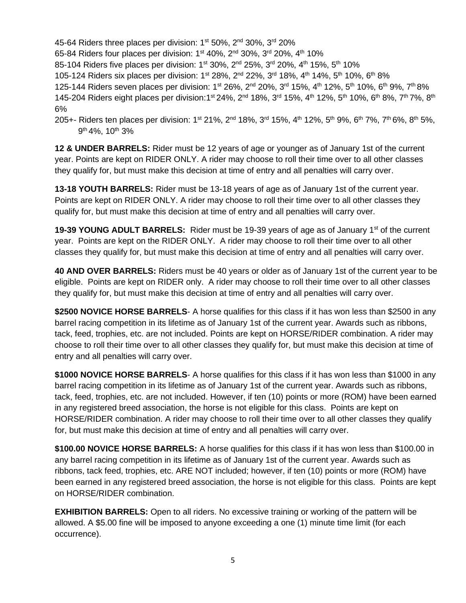45-64 Riders three places per division: 1<sup>st</sup> 50%, 2<sup>nd</sup> 30%, 3<sup>rd</sup> 20%

65-84 Riders four places per division: 1<sup>st</sup> 40%, 2<sup>nd</sup> 30%, 3<sup>rd</sup> 20%, 4<sup>th</sup> 10%

85-104 Riders five places per division: 1<sup>st</sup> 30%, 2<sup>nd</sup> 25%, 3<sup>rd</sup> 20%, 4<sup>th</sup> 15%, 5<sup>th</sup> 10%

105-124 Riders six places per division: 1<sup>st</sup> 28%, 2<sup>nd</sup> 22%, 3<sup>rd</sup> 18%, 4<sup>th</sup> 14%, 5<sup>th</sup> 10%, 6<sup>th</sup> 8%

125-144 Riders seven places per division: 1<sup>st</sup> 26%, 2<sup>nd</sup> 20%, 3<sup>rd</sup> 15%, 4<sup>th</sup> 12%, 5<sup>th</sup> 10%, 6<sup>th</sup> 9%, 7<sup>th</sup> 8% 145-204 Riders eight places per division:1st 24%, 2<sup>nd</sup> 18%, 3<sup>rd</sup> 15%, 4<sup>th</sup> 12%, 5<sup>th</sup> 10%, 6<sup>th</sup> 8%, 7<sup>th</sup> 7%, 8<sup>th</sup> 6%

205+- Riders ten places per division: 1<sup>st</sup> 21%, 2<sup>nd</sup> 18%, 3<sup>rd</sup> 15%, 4<sup>th</sup> 12%, 5<sup>th</sup> 9%, 6<sup>th</sup> 7%, 7<sup>th</sup> 6%, 8<sup>th</sup> 5%, 9 th 4%, 10th 3%

**12 & UNDER BARRELS:** Rider must be 12 years of age or younger as of January 1st of the current year. Points are kept on RIDER ONLY. A rider may choose to roll their time over to all other classes they qualify for, but must make this decision at time of entry and all penalties will carry over.

**13-18 YOUTH BARRELS:** Rider must be 13-18 years of age as of January 1st of the current year. Points are kept on RIDER ONLY. A rider may choose to roll their time over to all other classes they qualify for, but must make this decision at time of entry and all penalties will carry over.

**19-39 YOUNG ADULT BARRELS:** Rider must be 19-39 years of age as of January 1<sup>st</sup> of the current year. Points are kept on the RIDER ONLY. A rider may choose to roll their time over to all other classes they qualify for, but must make this decision at time of entry and all penalties will carry over.

**40 AND OVER BARRELS:** Riders must be 40 years or older as of January 1st of the current year to be eligible. Points are kept on RIDER only. A rider may choose to roll their time over to all other classes they qualify for, but must make this decision at time of entry and all penalties will carry over.

**\$2500 NOVICE HORSE BARRELS**- A horse qualifies for this class if it has won less than \$2500 in any barrel racing competition in its lifetime as of January 1st of the current year. Awards such as ribbons, tack, feed, trophies, etc. are not included. Points are kept on HORSE/RIDER combination. A rider may choose to roll their time over to all other classes they qualify for, but must make this decision at time of entry and all penalties will carry over.

**\$1000 NOVICE HORSE BARRELS**- A horse qualifies for this class if it has won less than \$1000 in any barrel racing competition in its lifetime as of January 1st of the current year. Awards such as ribbons, tack, feed, trophies, etc. are not included. However, if ten (10) points or more (ROM) have been earned in any registered breed association, the horse is not eligible for this class. Points are kept on HORSE/RIDER combination. A rider may choose to roll their time over to all other classes they qualify for, but must make this decision at time of entry and all penalties will carry over.

**\$100.00 NOVICE HORSE BARRELS:** A horse qualifies for this class if it has won less than \$100.00 in any barrel racing competition in its lifetime as of January 1st of the current year. Awards such as ribbons, tack feed, trophies, etc. ARE NOT included; however, if ten (10) points or more (ROM) have been earned in any registered breed association, the horse is not eligible for this class. Points are kept on HORSE/RIDER combination.

**EXHIBITION BARRELS:** Open to all riders. No excessive training or working of the pattern will be allowed. A \$5.00 fine will be imposed to anyone exceeding a one (1) minute time limit (for each occurrence).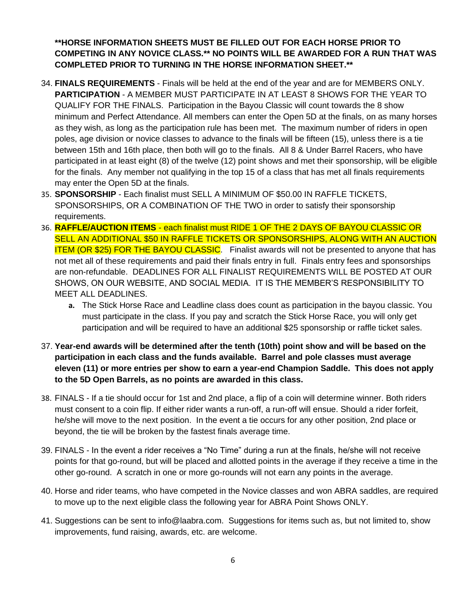## **\*\*HORSE INFORMATION SHEETS MUST BE FILLED OUT FOR EACH HORSE PRIOR TO COMPETING IN ANY NOVICE CLASS.\*\* NO POINTS WILL BE AWARDED FOR A RUN THAT WAS COMPLETED PRIOR TO TURNING IN THE HORSE INFORMATION SHEET.\*\***

- 34. **FINALS REQUIREMENTS** Finals will be held at the end of the year and are for MEMBERS ONLY. **PARTICIPATION** - A MEMBER MUST PARTICIPATE IN AT LEAST 8 SHOWS FOR THE YEAR TO QUALIFY FOR THE FINALS. Participation in the Bayou Classic will count towards the 8 show minimum and Perfect Attendance. All members can enter the Open 5D at the finals, on as many horses as they wish, as long as the participation rule has been met. The maximum number of riders in open poles, age division or novice classes to advance to the finals will be fifteen (15), unless there is a tie between 15th and 16th place, then both will go to the finals. All 8 & Under Barrel Racers, who have participated in at least eight (8) of the twelve (12) point shows and met their sponsorship, will be eligible for the finals. Any member not qualifying in the top 15 of a class that has met all finals requirements may enter the Open 5D at the finals.
- 35. **SPONSORSHIP**  Each finalist must SELL A MINIMUM OF \$50.00 IN RAFFLE TICKETS, SPONSORSHIPS, OR A COMBINATION OF THE TWO in order to satisfy their sponsorship requirements.
- 36. **RAFFLE/AUCTION ITEMS** each finalist must RIDE 1 OF THE 2 DAYS OF BAYOU CLASSIC OR SELL AN ADDITIONAL \$50 IN RAFFLE TICKETS OR SPONSORSHIPS, ALONG WITH AN AUCTION **ITEM (OR \$25) FOR THE BAYOU CLASSIC**. Finalist awards will not be presented to anyone that has not met all of these requirements and paid their finals entry in full. Finals entry fees and sponsorships are non-refundable. DEADLINES FOR ALL FINALIST REQUIREMENTS WILL BE POSTED AT OUR SHOWS, ON OUR WEBSITE, AND SOCIAL MEDIA. IT IS THE MEMBER'S RESPONSIBILITY TO MEET ALL DEADLINES.
	- **a.** The Stick Horse Race and Leadline class does count as participation in the bayou classic. You must participate in the class. If you pay and scratch the Stick Horse Race, you will only get participation and will be required to have an additional \$25 sponsorship or raffle ticket sales.
- 37. **Year-end awards will be determined after the tenth (10th) point show and will be based on the participation in each class and the funds available. Barrel and pole classes must average eleven (11) or more entries per show to earn a year-end Champion Saddle. This does not apply to the 5D Open Barrels, as no points are awarded in this class.**
- 38. FINALS If a tie should occur for 1st and 2nd place, a flip of a coin will determine winner. Both riders must consent to a coin flip. If either rider wants a run-off, a run-off will ensue. Should a rider forfeit, he/she will move to the next position. In the event a tie occurs for any other position, 2nd place or beyond, the tie will be broken by the fastest finals average time.
- 39. FINALS In the event a rider receives a "No Time" during a run at the finals, he/she will not receive points for that go-round, but will be placed and allotted points in the average if they receive a time in the other go-round. A scratch in one or more go-rounds will not earn any points in the average.
- 40. Horse and rider teams, who have competed in the Novice classes and won ABRA saddles, are required to move up to the next eligible class the following year for ABRA Point Shows ONLY.
- 41. Suggestions can be sent to info@laabra.com. Suggestions for items such as, but not limited to, show improvements, fund raising, awards, etc. are welcome.